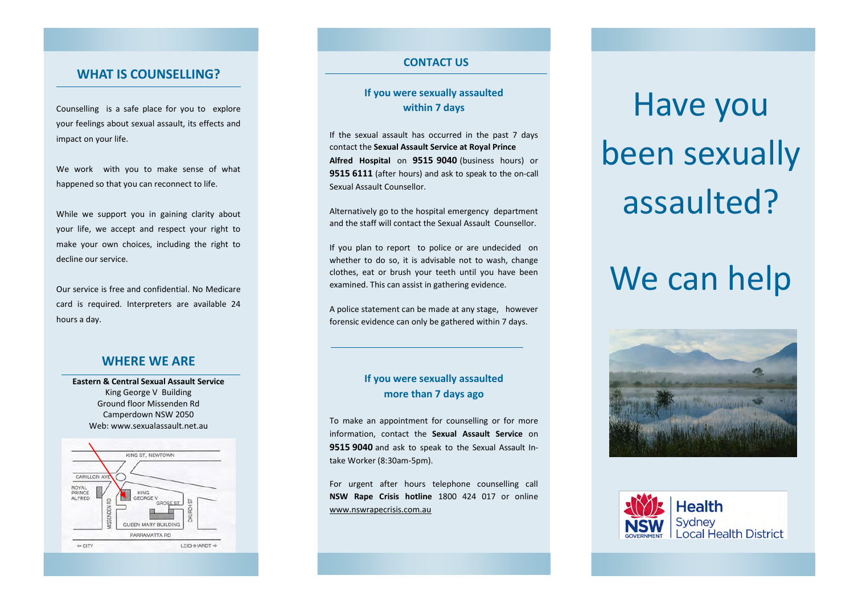### **WHAT IS COUNSELLING?**

Counselling is a safe place for you to explore your feelings about sexual assault, its effects and impact on your life.

We work with you to make sense of what happened so that you can reconnect to life.

While we support you in gaining clarity about your life, we accept and respect your right to make your own choices, including the right to decline our service.

Our service is free and confidential. No Medicare card is required. Interpreters are available 24 hours a day.

### **WHERE WE ARE**

**Eastern & Central Sexual Assault Service**  King George V Building Ground floor Missenden Rd Camperdown NSW 2050 Web: www.sexualassault.net.au



#### **CONTACT US**

### **If you were sexually assaulted within 7 days**

If the sexual assault has occurred in the past 7 days contact the **Sexual Assault Service at Royal Prince Alfred Hospital** on **9515 9040** (business hours) or **9515 6111** (after hours) and ask to speak to the on-call Sexual Assault Counsellor.

Alternatively go to the hospital emergency department and the staff will contact the Sexual Assault Counsellor.

If you plan to report to police or are undecided on whether to do so, it is advisable not to wash, change clothes, eat or brush your teeth until you have been examined. This can assist in gathering evidence.

A police statement can be made at any stage, however forensic evidence can only be gathered within 7 days.

### **If you were sexually assaulted more than 7 days ago**

To make an appointment for counselling or for more information, contact the **Sexual Assault Service** on **9515 9040** and ask to speak to the Sexual Assault Intake Worker (8:30am-5pm).

For urgent after hours telephone counselling call **NSW Rape Crisis hotline** 1800 424 017 or online www.nswrapecrisis.com.au

# Have you been sexually assaulted?

# We can help